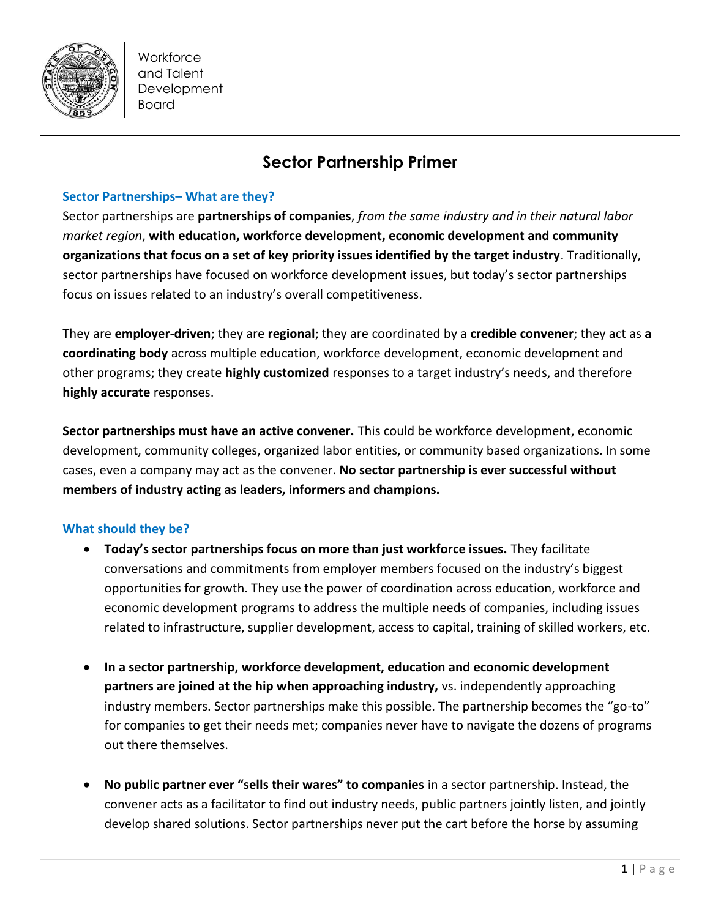

# **Sector Partnership Primer**

## **Sector Partnerships– What are they?**

Sector partnerships are **partnerships of companies**, *from the same industry and in their natural labor market region*, **with education, workforce development, economic development and community organizations that focus on a set of key priority issues identified by the target industry**. Traditionally, sector partnerships have focused on workforce development issues, but today's sector partnerships focus on issues related to an industry's overall competitiveness.

They are **employer-driven**; they are **regional**; they are coordinated by a **credible convener**; they act as **a coordinating body** across multiple education, workforce development, economic development and other programs; they create **highly customized** responses to a target industry's needs, and therefore **highly accurate** responses.

**Sector partnerships must have an active convener.** This could be workforce development, economic development, community colleges, organized labor entities, or community based organizations. In some cases, even a company may act as the convener. **No sector partnership is ever successful without members of industry acting as leaders, informers and champions.**

# **What should they be?**

- **Today's sector partnerships focus on more than just workforce issues.** They facilitate conversations and commitments from employer members focused on the industry's biggest opportunities for growth. They use the power of coordination across education, workforce and economic development programs to address the multiple needs of companies, including issues related to infrastructure, supplier development, access to capital, training of skilled workers, etc.
- **In a sector partnership, workforce development, education and economic development partners are joined at the hip when approaching industry,** vs. independently approaching industry members. Sector partnerships make this possible. The partnership becomes the "go-to" for companies to get their needs met; companies never have to navigate the dozens of programs out there themselves.
- **No public partner ever "sells their wares" to companies** in a sector partnership. Instead, the convener acts as a facilitator to find out industry needs, public partners jointly listen, and jointly develop shared solutions. Sector partnerships never put the cart before the horse by assuming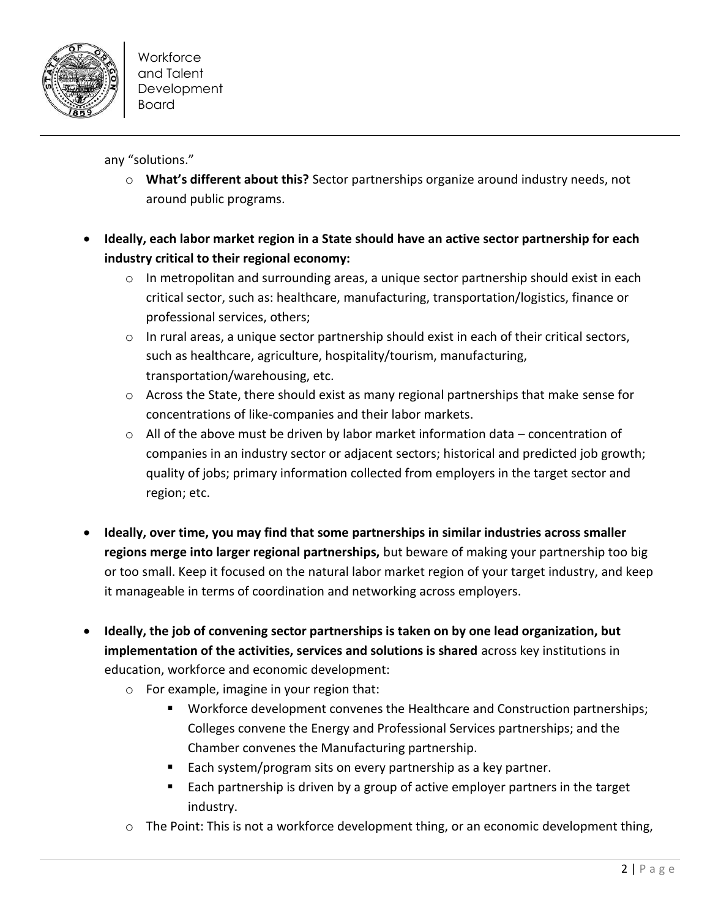

any "solutions."

- o **What's different about this?** Sector partnerships organize around industry needs, not around public programs.
- **Ideally, each labor market region in a State should have an active sector partnership for each industry critical to their regional economy:** 
	- $\circ$  In metropolitan and surrounding areas, a unique sector partnership should exist in each critical sector, such as: healthcare, manufacturing, transportation/logistics, finance or professional services, others;
	- $\circ$  In rural areas, a unique sector partnership should exist in each of their critical sectors, such as healthcare, agriculture, hospitality/tourism, manufacturing, transportation/warehousing, etc.
	- o Across the State, there should exist as many regional partnerships that make sense for concentrations of like-companies and their labor markets.
	- $\circ$  All of the above must be driven by labor market information data concentration of companies in an industry sector or adjacent sectors; historical and predicted job growth; quality of jobs; primary information collected from employers in the target sector and region; etc.
- **Ideally, over time, you may find that some partnerships in similar industries across smaller regions merge into larger regional partnerships,** but beware of making your partnership too big or too small. Keep it focused on the natural labor market region of your target industry, and keep it manageable in terms of coordination and networking across employers.
- **Ideally, the job of convening sector partnerships is taken on by one lead organization, but implementation of the activities, services and solutions is shared** across key institutions in education, workforce and economic development:
	- o For example, imagine in your region that:
		- Workforce development convenes the Healthcare and Construction partnerships; Colleges convene the Energy and Professional Services partnerships; and the Chamber convenes the Manufacturing partnership.
		- Each system/program sits on every partnership as a key partner.
		- Each partnership is driven by a group of active employer partners in the target industry.
	- $\circ$  The Point: This is not a workforce development thing, or an economic development thing,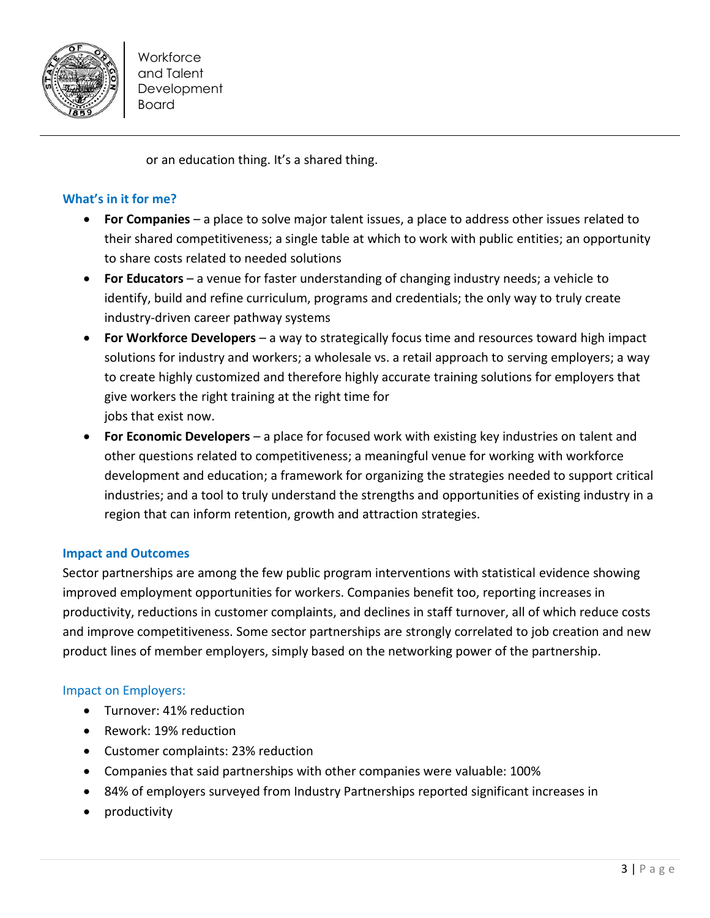

or an education thing. It's a shared thing.

# **What's in it for me?**

- **For Companies**  a place to solve major talent issues, a place to address other issues related to their shared competitiveness; a single table at which to work with public entities; an opportunity to share costs related to needed solutions
- **For Educators** a venue for faster understanding of changing industry needs; a vehicle to identify, build and refine curriculum, programs and credentials; the only way to truly create industry-driven career pathway systems
- **For Workforce Developers** a way to strategically focus time and resources toward high impact solutions for industry and workers; a wholesale vs. a retail approach to serving employers; a way to create highly customized and therefore highly accurate training solutions for employers that give workers the right training at the right time for jobs that exist now.
- **For Economic Developers** a place for focused work with existing key industries on talent and other questions related to competitiveness; a meaningful venue for working with workforce development and education; a framework for organizing the strategies needed to support critical industries; and a tool to truly understand the strengths and opportunities of existing industry in a region that can inform retention, growth and attraction strategies.

## **Impact and Outcomes**

Sector partnerships are among the few public program interventions with statistical evidence showing improved employment opportunities for workers. Companies benefit too, reporting increases in productivity, reductions in customer complaints, and declines in staff turnover, all of which reduce costs and improve competitiveness. Some sector partnerships are strongly correlated to job creation and new product lines of member employers, simply based on the networking power of the partnership.

### Impact on Employers:

- **•** Turnover: 41% reduction
- Rework: 19% reduction
- Customer complaints: 23% reduction
- Companies that said partnerships with other companies were valuable: 100%
- 84% of employers surveyed from Industry Partnerships reported significant increases in
- productivity